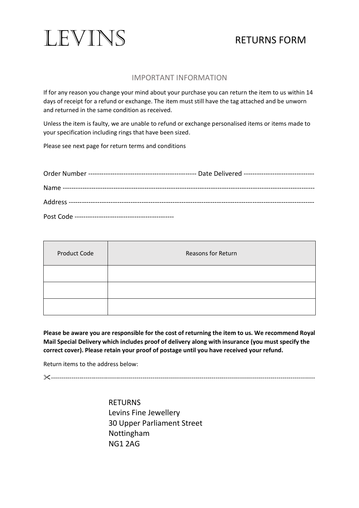

# RETURNS FORM

# IMPORTANT INFORMATION

If for any reason you change your mind about your purchase you can return the item to us within 14 days of receipt for a refund or exchange. The item must still have the tag attached and be unworn and returned in the same condition as received.

Unless the item is faulty, we are unable to refund or exchange personalised items or items made to your specification including rings that have been sized.

Please see next page for return terms and conditions

| <b>Product Code</b> | Reasons for Return |
|---------------------|--------------------|
|                     |                    |
|                     |                    |
|                     |                    |

**Please be aware you are responsible for the cost of returning the item to us. We recommend Royal Mail Special Delivery which includes proof of delivery along with insurance (you must specify the correct cover). Please retain your proof of postage until you have received your refund.**

Return items to the address below:

----------------------------------------------------------------------------------------------------------------------------------

RETURNS Levins Fine Jewellery 30 Upper Parliament Street Nottingham NG1 2AG